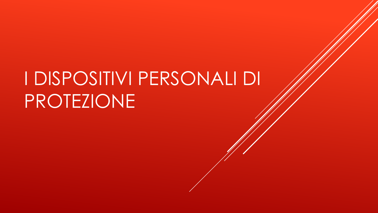## I DISPOSITIVI PERSONALI DI PROTEZIONE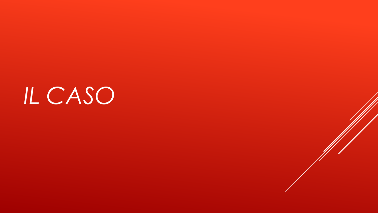*IL CASO*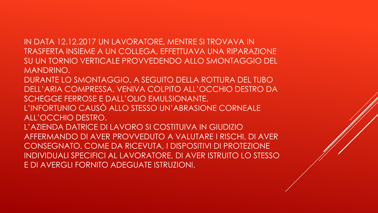IN DATA 12.12.2017 UN LAVORATORE, MENTRE SI TROVAVA IN TRASFERTA INSIEME A UN COLLEGA, EFFETTUAVA UNA RIPARAZIONE SU UN TORNIO VERTICALE PROVVEDENDO ALLO SMONTAGGIO DEL MANDRINO.

DURANTE LO SMONTAGGIO, A SEGUITO DELLA ROTTURA DEL TUBO DELL'ARIA COMPRESSA, VENIVA COLPITO ALL'OCCHIO DESTRO DA SCHEGGE FERROSE E DALL'OLIO EMULSIONANTE. L'INFORTUNIO CAUSÒ ALLO STESSO UN'ABRASIONE CORNEALE ALL'OCCHIO DESTRO. L'AZIENDA DATRICE DI LAVORO SI COSTITUIVA IN GIUDIZIO AFFERMANDO DI AVER PROVVEDUTO A VALUTARE I RISCHI, DI AVER CONSEGNATO, COME DA RICEVUTA, I DISPOSITIVI DI PROTEZIONE INDIVIDUALI SPECIFICI AL LAVORATORE, DI AVER ISTRUITO LO STESSO E DI AVERGLI FORNITO ADEGUATE ISTRUZIONI.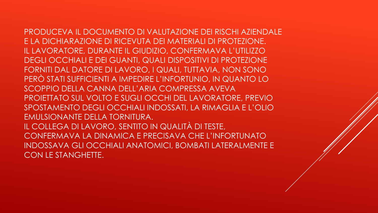PRODUCEVA IL DOCUMENTO DI VALUTAZIONE DEI RISCHI AZIENDALE E LA DICHIARAZIONE DI RICEVUTA DEI MATERIALI DI PROTEZIONE. IL LAVORATORE, DURANTE IL GIUDIZIO, CONFERMAVA L'UTILIZZO DEGLI OCCHIALI E DEI GUANTI, QUALI DISPOSITIVI DI PROTEZIONE FORNITI DAL DATORE DI LAVORO, I QUALI, TUTTAVIA, NON SONO PERÒ STATI SUFFICIENTI A IMPEDIRE L'INFORTUNIO, IN QUANTO LO SCOPPIO DELLA CANNA DELL'ARIA COMPRESSA AVEVA PROIETTATO SUL VOLTO E SUGLI OCCHI DEL LAVORATORE, PREVIO SPOSTAMENTO DEGLI OCCHIALI INDOSSATI, LA RIMAGLIA E L'OLIO EMULSIONANTE DELLA TORNITURA. IL COLLEGA DI LAVORO, SENTITO IN QUALITÀ DI TESTE, CONFERMAVA LA DINAMICA E PRECISAVA CHE L'INFORTUNATO INDOSSAVA GLI OCCHIALI ANATOMICI, BOMBATI LATERALMENTE E

CON LE STANGHETTE.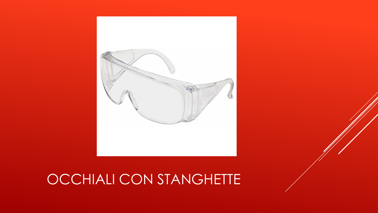

## OCCHIALI CON STANGHETTE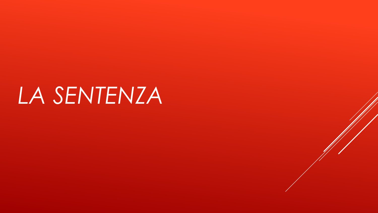## *LA SENTENZA*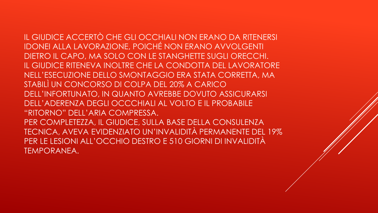IL GIUDICE ACCERTÒ CHE GLI OCCHIALI NON ERANO DA RITENERSI IDONEI ALLA LAVORAZIONE, POICHÉ NON ERANO AVVOLGENTI DIETRO IL CAPO, MA SOLO CON LE STANGHETTE SUGLI ORECCHI. IL GIUDICE RITENEVA INOLTRE CHE LA CONDOTTA DEL LAVORATORE NELL'ESECUZIONE DELLO SMONTAGGIO ERA STATA CORRETTA, MA STABILÌ UN CONCORSO DI COLPA DEL 20% A CARICO DELL'INFORTUNATO, IN QUANTO AVREBBE DOVUTO ASSICURARSI DELL'ADERENZA DEGLI OCCCHIALI AL VOLTO E IL PROBABILE "RITORNO" DELL'ARIA COMPRESSA. PER COMPLETEZZA, IL GIUDICE, SULLA BASE DELLA CONSULENZA TECNICA, AVEVA EVIDENZIATO UN'INVALIDITÀ PERMANENTE DEL 19% PER LE LESIONI ALL'OCCHIO DESTRO E 510 GIORNI DI INVALIDITÀ TEMPORANEA.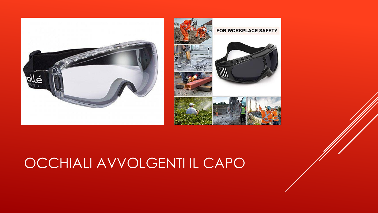



## OCCHIALI AVVOLGENTI IL CAPO